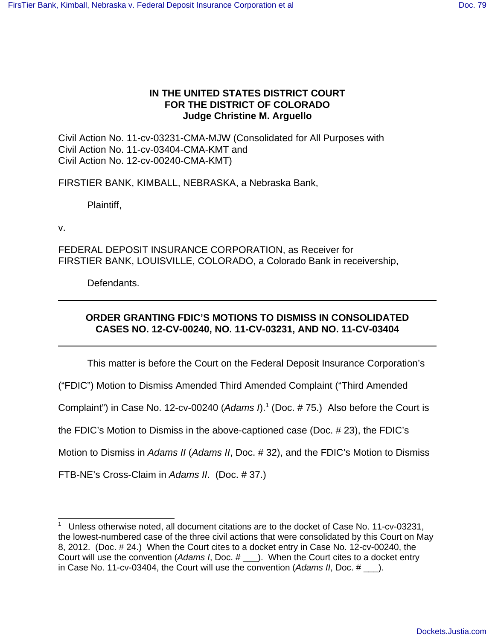# **IN THE UNITED STATES DISTRICT COURT FOR THE DISTRICT OF COLORADO Judge Christine M. Arguello**

Civil Action No. 11-cv-03231-CMA-MJW (Consolidated for All Purposes with Civil Action No. 11-cv-03404-CMA-KMT and Civil Action No. 12-cv-00240-CMA-KMT)

FIRSTIER BANK, KIMBALL, NEBRASKA, a Nebraska Bank,

Plaintiff,

v.

FEDERAL DEPOSIT INSURANCE CORPORATION, as Receiver for FIRSTIER BANK, LOUISVILLE, COLORADO, a Colorado Bank in receivership,

Defendants.

# **ORDER GRANTING FDIC'S MOTIONS TO DISMISS IN CONSOLIDATED CASES NO. 12-CV-00240, NO. 11-CV-03231, AND NO. 11-CV-03404**

This matter is before the Court on the Federal Deposit Insurance Corporation's

("FDIC") Motion to Dismiss Amended Third Amended Complaint ("Third Amended

Complaint") in Case No. 12-cv-00240 (Adams  $n$ <sup>1</sup> (Doc. # 75.) Also before the Court is

the FDIC's Motion to Dismiss in the above-captioned case (Doc. # 23), the FDIC's

Motion to Dismiss in Adams II (Adams II, Doc. #32), and the FDIC's Motion to Dismiss

FTB-NE's Cross-Claim in Adams II. (Doc. # 37.)

<sup>1</sup> Unless otherwise noted, all document citations are to the docket of Case No. 11-cv-03231, the lowest-numbered case of the three civil actions that were consolidated by this Court on May 8, 2012. (Doc. # 24.) When the Court cites to a docket entry in Case No. 12-cv-00240, the Court will use the convention (Adams I, Doc. # \_\_\_). When the Court cites to a docket entry in Case No. 11-cv-03404, the Court will use the convention (Adams II, Doc.  $\#$  ).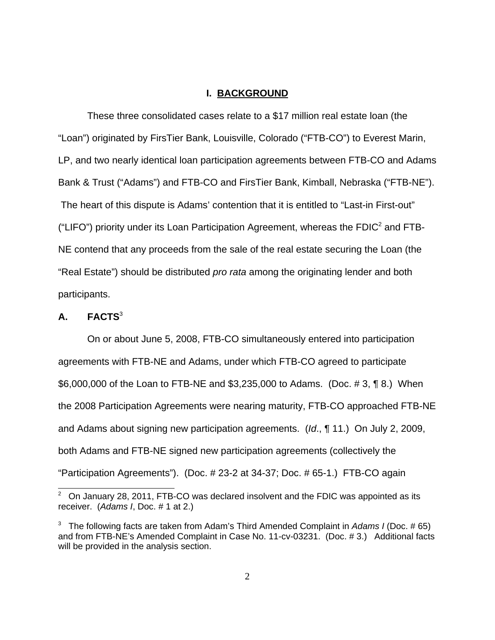## **I. BACKGROUND**

These three consolidated cases relate to a \$17 million real estate loan (the "Loan") originated by FirsTier Bank, Louisville, Colorado ("FTB-CO") to Everest Marin, LP, and two nearly identical loan participation agreements between FTB-CO and Adams Bank & Trust ("Adams") and FTB-CO and FirsTier Bank, Kimball, Nebraska ("FTB-NE"). The heart of this dispute is Adams' contention that it is entitled to "Last-in First-out" ("LIFO") priority under its Loan Participation Agreement, whereas the FDIC<sup>2</sup> and FTB-NE contend that any proceeds from the sale of the real estate securing the Loan (the "Real Estate") should be distributed *pro rata* among the originating lender and both participants.

# **A. FACTS**<sup>3</sup>

On or about June 5, 2008, FTB-CO simultaneously entered into participation agreements with FTB-NE and Adams, under which FTB-CO agreed to participate \$6,000,000 of the Loan to FTB-NE and \$3,235,000 to Adams. (Doc. # 3, ¶ 8.) When the 2008 Participation Agreements were nearing maturity, FTB-CO approached FTB-NE and Adams about signing new participation agreements. (Id., ¶ 11.) On July 2, 2009, both Adams and FTB-NE signed new participation agreements (collectively the "Participation Agreements"). (Doc. # 23-2 at 34-37; Doc. # 65-1.) FTB-CO again

 $2^{\circ}$  On January 28, 2011, FTB-CO was declared insolvent and the FDIC was appointed as its receiver. (Adams I, Doc. # 1 at 2.)

<sup>&</sup>lt;sup>3</sup> The following facts are taken from Adam's Third Amended Complaint in Adams I (Doc. #65) and from FTB-NE's Amended Complaint in Case No. 11-cv-03231. (Doc. # 3.) Additional facts will be provided in the analysis section.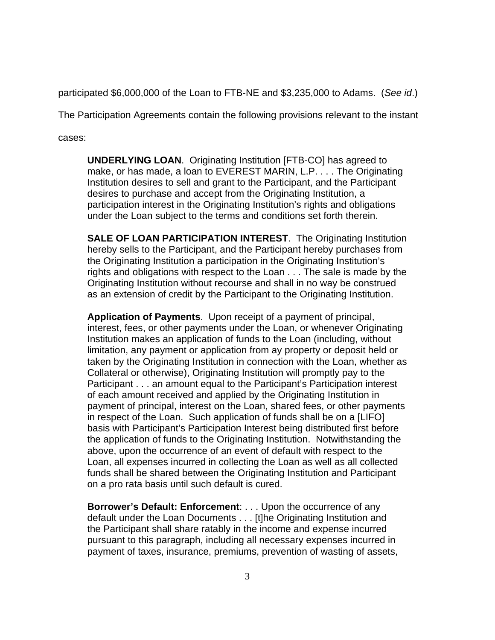participated \$6,000,000 of the Loan to FTB-NE and \$3,235,000 to Adams. (See id.)

The Participation Agreements contain the following provisions relevant to the instant

cases:

**UNDERLYING LOAN**. Originating Institution [FTB-CO] has agreed to make, or has made, a loan to EVEREST MARIN, L.P. . . . The Originating Institution desires to sell and grant to the Participant, and the Participant desires to purchase and accept from the Originating Institution, a participation interest in the Originating Institution's rights and obligations under the Loan subject to the terms and conditions set forth therein.

**SALE OF LOAN PARTICIPATION INTEREST**. The Originating Institution hereby sells to the Participant, and the Participant hereby purchases from the Originating Institution a participation in the Originating Institution's rights and obligations with respect to the Loan . . . The sale is made by the Originating Institution without recourse and shall in no way be construed as an extension of credit by the Participant to the Originating Institution.

**Application of Payments**. Upon receipt of a payment of principal, interest, fees, or other payments under the Loan, or whenever Originating Institution makes an application of funds to the Loan (including, without limitation, any payment or application from ay property or deposit held or taken by the Originating Institution in connection with the Loan, whether as Collateral or otherwise), Originating Institution will promptly pay to the Participant . . . an amount equal to the Participant's Participation interest of each amount received and applied by the Originating Institution in payment of principal, interest on the Loan, shared fees, or other payments in respect of the Loan. Such application of funds shall be on a [LIFO] basis with Participant's Participation Interest being distributed first before the application of funds to the Originating Institution. Notwithstanding the above, upon the occurrence of an event of default with respect to the Loan, all expenses incurred in collecting the Loan as well as all collected funds shall be shared between the Originating Institution and Participant on a pro rata basis until such default is cured.

**Borrower's Default: Enforcement**: . . . Upon the occurrence of any default under the Loan Documents . . . [t]he Originating Institution and the Participant shall share ratably in the income and expense incurred pursuant to this paragraph, including all necessary expenses incurred in payment of taxes, insurance, premiums, prevention of wasting of assets,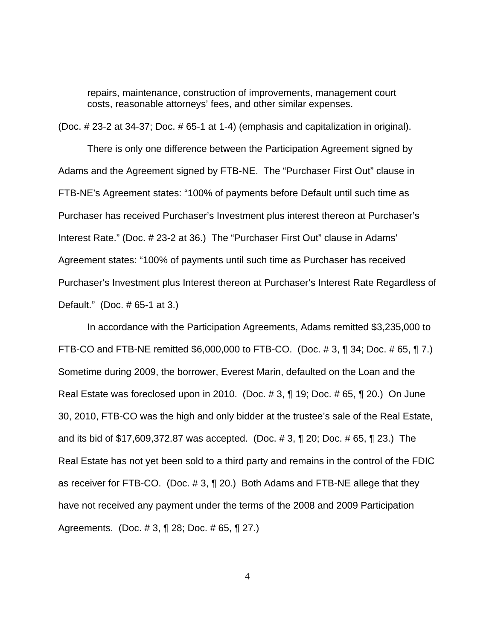repairs, maintenance, construction of improvements, management court costs, reasonable attorneys' fees, and other similar expenses.

(Doc. # 23-2 at 34-37; Doc. # 65-1 at 1-4) (emphasis and capitalization in original).

There is only one difference between the Participation Agreement signed by Adams and the Agreement signed by FTB-NE. The "Purchaser First Out" clause in FTB-NE's Agreement states: "100% of payments before Default until such time as Purchaser has received Purchaser's Investment plus interest thereon at Purchaser's Interest Rate." (Doc. # 23-2 at 36.) The "Purchaser First Out" clause in Adams' Agreement states: "100% of payments until such time as Purchaser has received Purchaser's Investment plus Interest thereon at Purchaser's Interest Rate Regardless of Default." (Doc. # 65-1 at 3.)

In accordance with the Participation Agreements, Adams remitted \$3,235,000 to FTB-CO and FTB-NE remitted \$6,000,000 to FTB-CO. (Doc. # 3, ¶ 34; Doc. # 65, ¶ 7.) Sometime during 2009, the borrower, Everest Marin, defaulted on the Loan and the Real Estate was foreclosed upon in 2010. (Doc. # 3, ¶ 19; Doc. # 65, ¶ 20.) On June 30, 2010, FTB-CO was the high and only bidder at the trustee's sale of the Real Estate, and its bid of \$17,609,372.87 was accepted. (Doc. # 3, ¶ 20; Doc. # 65, ¶ 23.) The Real Estate has not yet been sold to a third party and remains in the control of the FDIC as receiver for FTB-CO. (Doc. # 3, ¶ 20.) Both Adams and FTB-NE allege that they have not received any payment under the terms of the 2008 and 2009 Participation Agreements. (Doc. # 3, ¶ 28; Doc. # 65, ¶ 27.)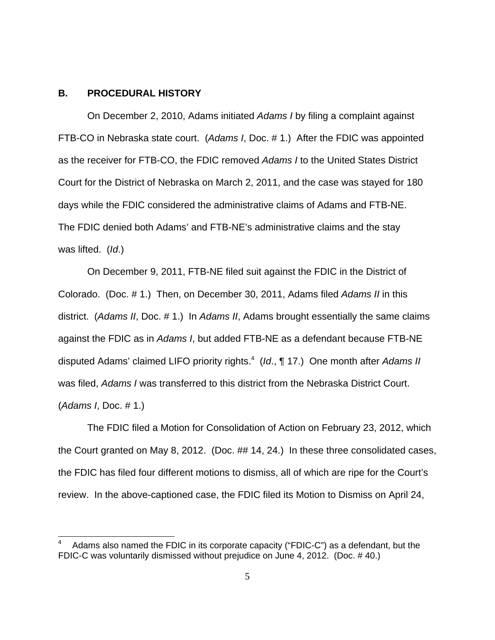## **B. PROCEDURAL HISTORY**

On December 2, 2010, Adams initiated Adams I by filing a complaint against FTB-CO in Nebraska state court. (Adams I, Doc. # 1.) After the FDIC was appointed as the receiver for FTB-CO, the FDIC removed Adams I to the United States District Court for the District of Nebraska on March 2, 2011, and the case was stayed for 180 days while the FDIC considered the administrative claims of Adams and FTB-NE. The FDIC denied both Adams' and FTB-NE's administrative claims and the stay was lifted. (Id.)

On December 9, 2011, FTB-NE filed suit against the FDIC in the District of Colorado. (Doc. # 1.) Then, on December 30, 2011, Adams filed Adams II in this district. (Adams II, Doc. # 1.) In Adams II, Adams brought essentially the same claims against the FDIC as in Adams I, but added FTB-NE as a defendant because FTB-NE disputed Adams' claimed LIFO priority rights.<sup>4</sup> (Id., 117.) One month after Adams II was filed, Adams I was transferred to this district from the Nebraska District Court. (Adams I, Doc. # 1.)

The FDIC filed a Motion for Consolidation of Action on February 23, 2012, which the Court granted on May 8, 2012. (Doc. ## 14, 24.) In these three consolidated cases, the FDIC has filed four different motions to dismiss, all of which are ripe for the Court's review. In the above-captioned case, the FDIC filed its Motion to Dismiss on April 24,

<sup>4</sup> Adams also named the FDIC in its corporate capacity ("FDIC-C") as a defendant, but the FDIC-C was voluntarily dismissed without prejudice on June 4, 2012. (Doc. # 40.)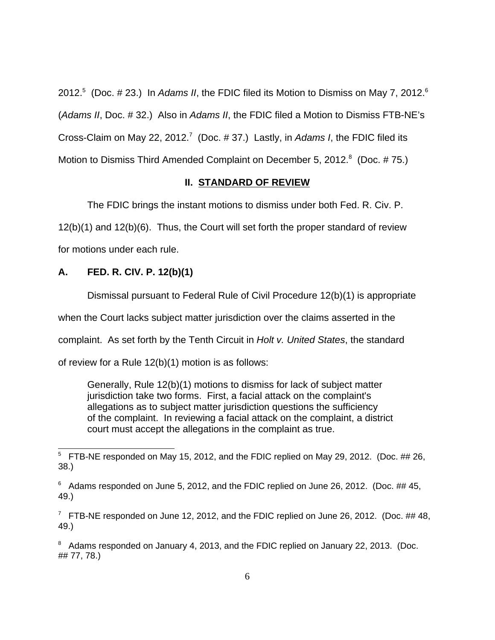2012.<sup>5</sup> (Doc. # 23.) In Adams II, the FDIC filed its Motion to Dismiss on May 7, 2012.<sup>6</sup> (Adams II, Doc. # 32.) Also in Adams II, the FDIC filed a Motion to Dismiss FTB-NE's Cross-Claim on May 22, 2012.<sup>7</sup> (Doc. # 37.) Lastly, in Adams I, the FDIC filed its Motion to Dismiss Third Amended Complaint on December 5, 2012. $8$  (Doc. #75.)

## **II. STANDARD OF REVIEW**

The FDIC brings the instant motions to dismiss under both Fed. R. Civ. P.

12(b)(1) and 12(b)(6). Thus, the Court will set forth the proper standard of review for motions under each rule.

## **A. FED. R. CIV. P. 12(b)(1)**

Dismissal pursuant to Federal Rule of Civil Procedure 12(b)(1) is appropriate

when the Court lacks subject matter jurisdiction over the claims asserted in the

complaint. As set forth by the Tenth Circuit in Holt v. United States, the standard

of review for a Rule 12(b)(1) motion is as follows:

Generally, Rule 12(b)(1) motions to dismiss for lack of subject matter jurisdiction take two forms. First, a facial attack on the complaint's allegations as to subject matter jurisdiction questions the sufficiency of the complaint. In reviewing a facial attack on the complaint, a district court must accept the allegations in the complaint as true.

 $5$  FTB-NE responded on May 15, 2012, and the FDIC replied on May 29, 2012. (Doc.  $\#$  # 26, 38.)

 $6$  Adams responded on June 5, 2012, and the FDIC replied on June 26, 2012. (Doc. ## 45, 49.)

 $7$  FTB-NE responded on June 12, 2012, and the FDIC replied on June 26, 2012. (Doc. ## 48, 49.)

 $8$  Adams responded on January 4, 2013, and the FDIC replied on January 22, 2013. (Doc. ## 77, 78.)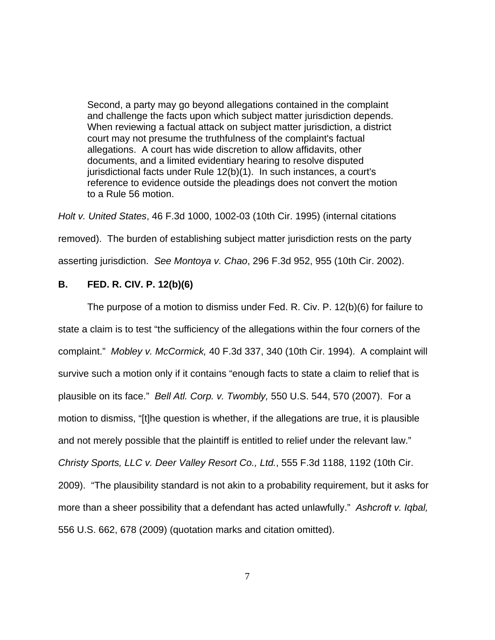Second, a party may go beyond allegations contained in the complaint and challenge the facts upon which subject matter jurisdiction depends. When reviewing a factual attack on subject matter jurisdiction, a district court may not presume the truthfulness of the complaint's factual allegations. A court has wide discretion to allow affidavits, other documents, and a limited evidentiary hearing to resolve disputed jurisdictional facts under Rule 12(b)(1). In such instances, a court's reference to evidence outside the pleadings does not convert the motion to a Rule 56 motion.

Holt v. United States, 46 F.3d 1000, 1002-03 (10th Cir. 1995) (internal citations removed). The burden of establishing subject matter jurisdiction rests on the party asserting jurisdiction. See Montoya v. Chao, 296 F.3d 952, 955 (10th Cir. 2002).

# **B. FED. R. CIV. P. 12(b)(6)**

The purpose of a motion to dismiss under Fed. R. Civ. P. 12(b)(6) for failure to state a claim is to test "the sufficiency of the allegations within the four corners of the complaint." Mobley v. McCormick, 40 F.3d 337, 340 (10th Cir. 1994). A complaint will survive such a motion only if it contains "enough facts to state a claim to relief that is plausible on its face." Bell Atl. Corp. v. Twombly, 550 U.S. 544, 570 (2007). For a motion to dismiss, "[t]he question is whether, if the allegations are true, it is plausible and not merely possible that the plaintiff is entitled to relief under the relevant law." Christy Sports, LLC v. Deer Valley Resort Co., Ltd., 555 F.3d 1188, 1192 (10th Cir. 2009). "The plausibility standard is not akin to a probability requirement, but it asks for more than a sheer possibility that a defendant has acted unlawfully." Ashcroft v. Iqbal, 556 U.S. 662, 678 (2009) (quotation marks and citation omitted).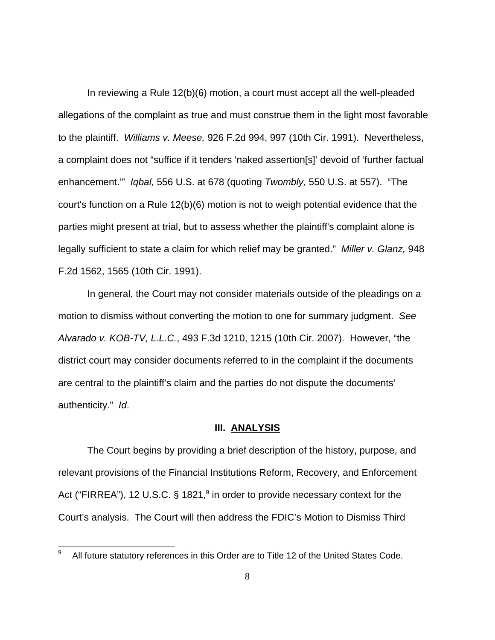In reviewing a Rule 12(b)(6) motion, a court must accept all the well-pleaded allegations of the complaint as true and must construe them in the light most favorable to the plaintiff. Williams v. Meese, 926 F.2d 994, 997 (10th Cir. 1991). Nevertheless, a complaint does not "suffice if it tenders 'naked assertion[s]' devoid of 'further factual enhancement.'" Iqbal, 556 U.S. at 678 (quoting Twombly, 550 U.S. at 557). "The court's function on a Rule 12(b)(6) motion is not to weigh potential evidence that the parties might present at trial, but to assess whether the plaintiff's complaint alone is legally sufficient to state a claim for which relief may be granted." Miller v. Glanz, 948 F.2d 1562, 1565 (10th Cir. 1991).

In general, the Court may not consider materials outside of the pleadings on a motion to dismiss without converting the motion to one for summary judgment. See Alvarado v. KOB-TV, L.L.C., 493 F.3d 1210, 1215 (10th Cir. 2007). However, "the district court may consider documents referred to in the complaint if the documents are central to the plaintiff's claim and the parties do not dispute the documents' authenticity." Id.

### **III. ANALYSIS**

The Court begins by providing a brief description of the history, purpose, and relevant provisions of the Financial Institutions Reform, Recovery, and Enforcement Act ("FIRREA"), 12 U.S.C. § 1821,<sup>9</sup> in order to provide necessary context for the Court's analysis. The Court will then address the FDIC's Motion to Dismiss Third

<sup>9</sup> All future statutory references in this Order are to Title 12 of the United States Code.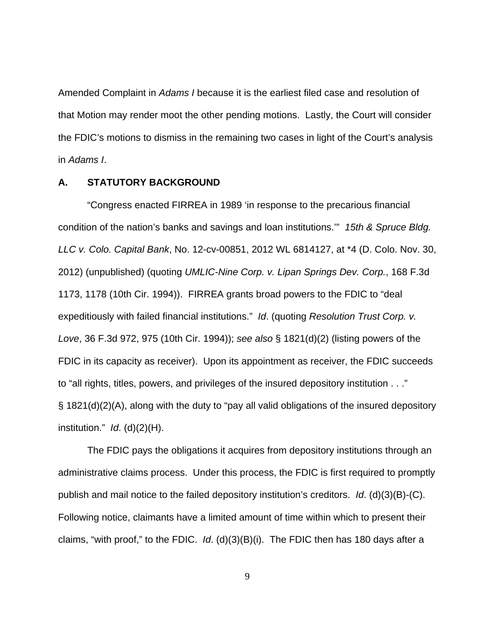Amended Complaint in Adams I because it is the earliest filed case and resolution of that Motion may render moot the other pending motions. Lastly, the Court will consider the FDIC's motions to dismiss in the remaining two cases in light of the Court's analysis in Adams I.

### **A. STATUTORY BACKGROUND**

"Congress enacted FIRREA in 1989 'in response to the precarious financial condition of the nation's banks and savings and loan institutions.'" 15th & Spruce Bldg. LLC v. Colo. Capital Bank, No. 12-cv-00851, 2012 WL 6814127, at \*4 (D. Colo. Nov. 30, 2012) (unpublished) (quoting UMLIC-Nine Corp. v. Lipan Springs Dev. Corp., 168 F.3d 1173, 1178 (10th Cir. 1994)). FIRREA grants broad powers to the FDIC to "deal expeditiously with failed financial institutions." Id. (quoting Resolution Trust Corp. v. Love, 36 F.3d 972, 975 (10th Cir. 1994)); see also § 1821(d)(2) (listing powers of the FDIC in its capacity as receiver). Upon its appointment as receiver, the FDIC succeeds to "all rights, titles, powers, and privileges of the insured depository institution . . ." § 1821(d)(2)(A), along with the duty to "pay all valid obligations of the insured depository institution."  $Id.$  (d)(2)(H).

The FDIC pays the obligations it acquires from depository institutions through an administrative claims process. Under this process, the FDIC is first required to promptly publish and mail notice to the failed depository institution's creditors. Id. (d)(3)(B)-(C). Following notice, claimants have a limited amount of time within which to present their claims, "with proof," to the FDIC. *Id.* (d) $(3)(B)(i)$ . The FDIC then has 180 days after a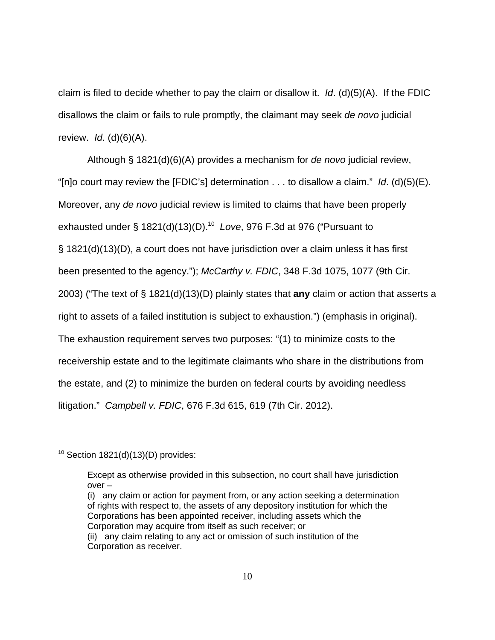claim is filed to decide whether to pay the claim or disallow it.  $Id.$  (d)(5)(A). If the FDIC disallows the claim or fails to rule promptly, the claimant may seek de novo judicial review.  $Id.$  (d) $(6)(A).$ 

Although § 1821(d)(6)(A) provides a mechanism for de novo judicial review, "[n]o court may review the [FDIC's] determination . . . to disallow a claim." Id. (d)(5)(E). Moreover, any de novo judicial review is limited to claims that have been properly exhausted under § 1821(d)(13)(D).<sup>10</sup> Love, 976 F.3d at 976 ("Pursuant to § 1821(d)(13)(D), a court does not have jurisdiction over a claim unless it has first been presented to the agency."); McCarthy v. FDIC, 348 F.3d 1075, 1077 (9th Cir. 2003) ("The text of § 1821(d)(13)(D) plainly states that **any** claim or action that asserts a right to assets of a failed institution is subject to exhaustion.") (emphasis in original). The exhaustion requirement serves two purposes: "(1) to minimize costs to the receivership estate and to the legitimate claimants who share in the distributions from the estate, and (2) to minimize the burden on federal courts by avoiding needless litigation." Campbell v. FDIC, 676 F.3d 615, 619 (7th Cir. 2012).

(i) any claim or action for payment from, or any action seeking a determination of rights with respect to, the assets of any depository institution for which the Corporations has been appointed receiver, including assets which the Corporation may acquire from itself as such receiver; or

 $10$  Section 1821(d)(13)(D) provides:

Except as otherwise provided in this subsection, no court shall have jurisdiction over –

<sup>(</sup>ii) any claim relating to any act or omission of such institution of the Corporation as receiver.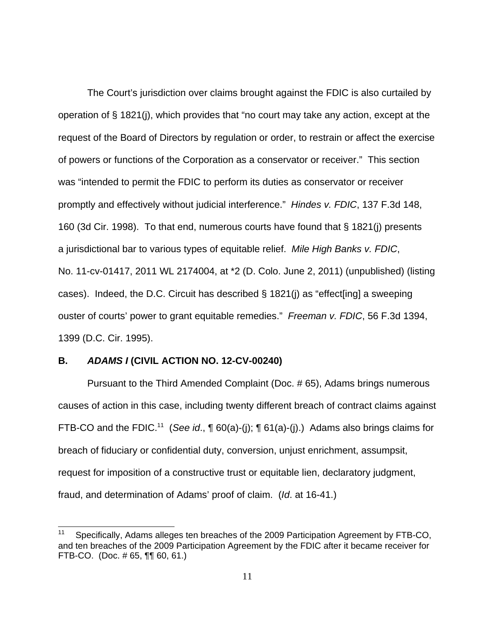The Court's jurisdiction over claims brought against the FDIC is also curtailed by operation of § 1821(j), which provides that "no court may take any action, except at the request of the Board of Directors by regulation or order, to restrain or affect the exercise of powers or functions of the Corporation as a conservator or receiver." This section was "intended to permit the FDIC to perform its duties as conservator or receiver promptly and effectively without judicial interference." Hindes v. FDIC, 137 F.3d 148, 160 (3d Cir. 1998). To that end, numerous courts have found that § 1821(j) presents a jurisdictional bar to various types of equitable relief. Mile High Banks v. FDIC, No. 11-cv-01417, 2011 WL 2174004, at \*2 (D. Colo. June 2, 2011) (unpublished) (listing cases). Indeed, the D.C. Circuit has described  $\S$  1821(i) as "effect [ing] a sweeping ouster of courts' power to grant equitable remedies." Freeman v. FDIC, 56 F.3d 1394, 1399 (D.C. Cir. 1995).

## **B. ADAMS I (CIVIL ACTION NO. 12-CV-00240)**

Pursuant to the Third Amended Complaint (Doc. # 65), Adams brings numerous causes of action in this case, including twenty different breach of contract claims against FTB-CO and the FDIC.<sup>11</sup> (See id.,  $\P$  60(a)-(i);  $\P$  61(a)-(i).) Adams also brings claims for breach of fiduciary or confidential duty, conversion, unjust enrichment, assumpsit, request for imposition of a constructive trust or equitable lien, declaratory judgment, fraud, and determination of Adams' proof of claim. (Id. at 16-41.)

<sup>11</sup> Specifically, Adams alleges ten breaches of the 2009 Participation Agreement by FTB-CO, and ten breaches of the 2009 Participation Agreement by the FDIC after it became receiver for FTB-CO. (Doc. # 65, ¶¶ 60, 61.)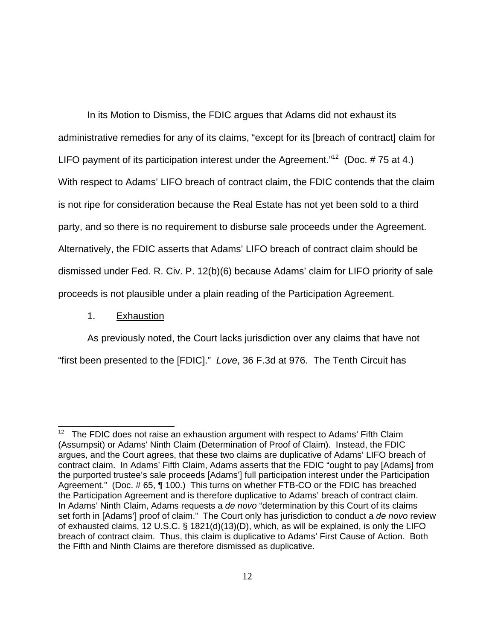In its Motion to Dismiss, the FDIC argues that Adams did not exhaust its administrative remedies for any of its claims, "except for its [breach of contract] claim for LIFO payment of its participation interest under the Agreement."<sup>12</sup> (Doc. #75 at 4.) With respect to Adams' LIFO breach of contract claim, the FDIC contends that the claim is not ripe for consideration because the Real Estate has not yet been sold to a third party, and so there is no requirement to disburse sale proceeds under the Agreement. Alternatively, the FDIC asserts that Adams' LIFO breach of contract claim should be dismissed under Fed. R. Civ. P. 12(b)(6) because Adams' claim for LIFO priority of sale proceeds is not plausible under a plain reading of the Participation Agreement.

1. Exhaustion

As previously noted, the Court lacks jurisdiction over any claims that have not "first been presented to the [FDIC]." Love, 36 F.3d at 976. The Tenth Circuit has

 $12$  The FDIC does not raise an exhaustion argument with respect to Adams' Fifth Claim (Assumpsit) or Adams' Ninth Claim (Determination of Proof of Claim). Instead, the FDIC argues, and the Court agrees, that these two claims are duplicative of Adams' LIFO breach of contract claim. In Adams' Fifth Claim, Adams asserts that the FDIC "ought to pay [Adams] from the purported trustee's sale proceeds [Adams'] full participation interest under the Participation Agreement." (Doc. # 65, ¶ 100.) This turns on whether FTB-CO or the FDIC has breached the Participation Agreement and is therefore duplicative to Adams' breach of contract claim. In Adams' Ninth Claim, Adams requests a de novo "determination by this Court of its claims set forth in [Adams'] proof of claim." The Court only has jurisdiction to conduct a de novo review of exhausted claims, 12 U.S.C. § 1821(d)(13)(D), which, as will be explained, is only the LIFO breach of contract claim. Thus, this claim is duplicative to Adams' First Cause of Action. Both the Fifth and Ninth Claims are therefore dismissed as duplicative.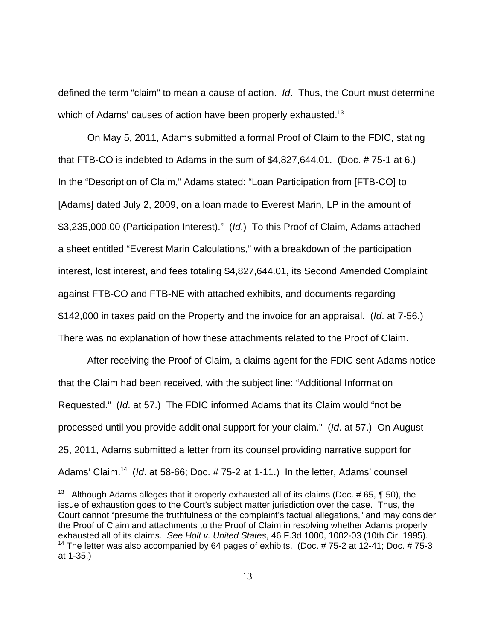defined the term "claim" to mean a cause of action. Id. Thus, the Court must determine which of Adams' causes of action have been properly exhausted.<sup>13</sup>

On May 5, 2011, Adams submitted a formal Proof of Claim to the FDIC, stating that FTB-CO is indebted to Adams in the sum of \$4,827,644.01. (Doc. # 75-1 at 6.) In the "Description of Claim," Adams stated: "Loan Participation from [FTB-CO] to [Adams] dated July 2, 2009, on a loan made to Everest Marin, LP in the amount of \$3,235,000.00 (Participation Interest)." (Id.) To this Proof of Claim, Adams attached a sheet entitled "Everest Marin Calculations," with a breakdown of the participation interest, lost interest, and fees totaling \$4,827,644.01, its Second Amended Complaint against FTB-CO and FTB-NE with attached exhibits, and documents regarding \$142,000 in taxes paid on the Property and the invoice for an appraisal. (Id. at 7-56.) There was no explanation of how these attachments related to the Proof of Claim.

After receiving the Proof of Claim, a claims agent for the FDIC sent Adams notice that the Claim had been received, with the subject line: "Additional Information Requested." (Id. at 57.) The FDIC informed Adams that its Claim would "not be processed until you provide additional support for your claim." (Id. at 57.) On August 25, 2011, Adams submitted a letter from its counsel providing narrative support for Adams' Claim.<sup>14</sup> (*Id.* at 58-66; Doc.  $\#$  75-2 at 1-11.) In the letter, Adams' counsel

<sup>&</sup>lt;sup>13</sup> Although Adams alleges that it properly exhausted all of its claims (Doc.  $\#$  65, ¶ 50), the issue of exhaustion goes to the Court's subject matter jurisdiction over the case. Thus, the Court cannot "presume the truthfulness of the complaint's factual allegations," and may consider the Proof of Claim and attachments to the Proof of Claim in resolving whether Adams properly exhausted all of its claims. See Holt v. United States, 46 F.3d 1000, 1002-03 (10th Cir. 1995). <sup>14</sup> The letter was also accompanied by 64 pages of exhibits. (Doc. # 75-2 at 12-41; Doc. # 75-3 at 1-35.)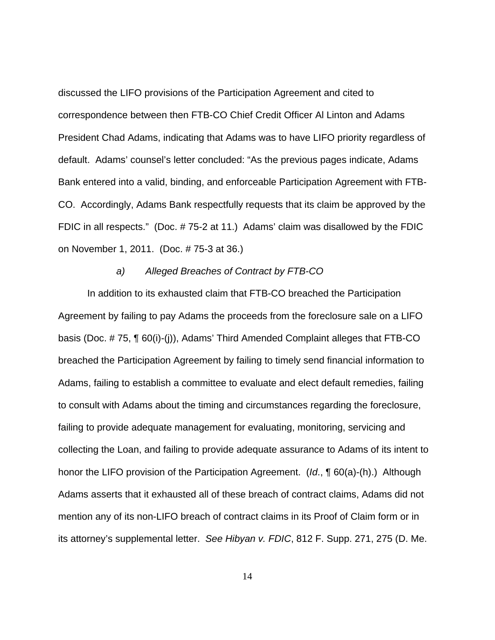discussed the LIFO provisions of the Participation Agreement and cited to correspondence between then FTB-CO Chief Credit Officer Al Linton and Adams President Chad Adams, indicating that Adams was to have LIFO priority regardless of default. Adams' counsel's letter concluded: "As the previous pages indicate, Adams Bank entered into a valid, binding, and enforceable Participation Agreement with FTB-CO. Accordingly, Adams Bank respectfully requests that its claim be approved by the FDIC in all respects." (Doc. # 75-2 at 11.) Adams' claim was disallowed by the FDIC on November 1, 2011. (Doc. # 75-3 at 36.)

#### a) Alleged Breaches of Contract by FTB-CO

 In addition to its exhausted claim that FTB-CO breached the Participation Agreement by failing to pay Adams the proceeds from the foreclosure sale on a LIFO basis (Doc. # 75, ¶ 60(i)-(j)), Adams' Third Amended Complaint alleges that FTB-CO breached the Participation Agreement by failing to timely send financial information to Adams, failing to establish a committee to evaluate and elect default remedies, failing to consult with Adams about the timing and circumstances regarding the foreclosure, failing to provide adequate management for evaluating, monitoring, servicing and collecting the Loan, and failing to provide adequate assurance to Adams of its intent to honor the LIFO provision of the Participation Agreement. (Id., ¶ 60(a)-(h).) Although Adams asserts that it exhausted all of these breach of contract claims, Adams did not mention any of its non-LIFO breach of contract claims in its Proof of Claim form or in its attorney's supplemental letter. See Hibyan v. FDIC, 812 F. Supp. 271, 275 (D. Me.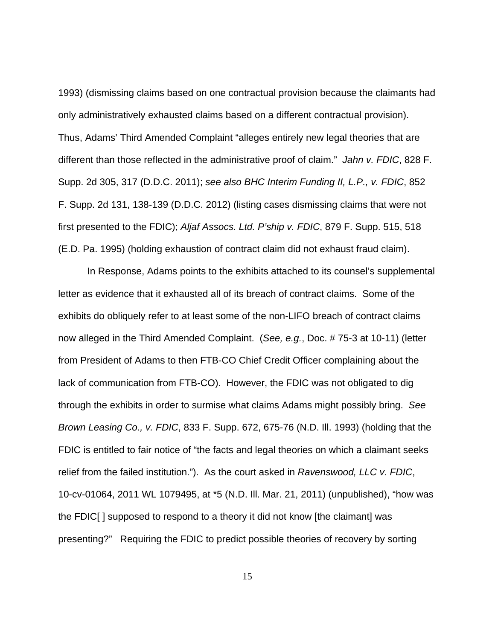1993) (dismissing claims based on one contractual provision because the claimants had only administratively exhausted claims based on a different contractual provision). Thus, Adams' Third Amended Complaint "alleges entirely new legal theories that are different than those reflected in the administrative proof of claim." Jahn v. FDIC, 828 F. Supp. 2d 305, 317 (D.D.C. 2011); see also BHC Interim Funding II, L.P., v. FDIC, 852 F. Supp. 2d 131, 138-139 (D.D.C. 2012) (listing cases dismissing claims that were not first presented to the FDIC); Aljaf Assocs. Ltd. P'ship v. FDIC, 879 F. Supp. 515, 518 (E.D. Pa. 1995) (holding exhaustion of contract claim did not exhaust fraud claim).

In Response, Adams points to the exhibits attached to its counsel's supplemental letter as evidence that it exhausted all of its breach of contract claims. Some of the exhibits do obliquely refer to at least some of the non-LIFO breach of contract claims now alleged in the Third Amended Complaint. (See, e.g., Doc. # 75-3 at 10-11) (letter from President of Adams to then FTB-CO Chief Credit Officer complaining about the lack of communication from FTB-CO). However, the FDIC was not obligated to dig through the exhibits in order to surmise what claims Adams might possibly bring. See Brown Leasing Co., v. FDIC, 833 F. Supp. 672, 675-76 (N.D. Ill. 1993) (holding that the FDIC is entitled to fair notice of "the facts and legal theories on which a claimant seeks relief from the failed institution."). As the court asked in Ravenswood, LLC v. FDIC, 10-cv-01064, 2011 WL 1079495, at \*5 (N.D. Ill. Mar. 21, 2011) (unpublished), "how was the FDIC[ ] supposed to respond to a theory it did not know [the claimant] was presenting?" Requiring the FDIC to predict possible theories of recovery by sorting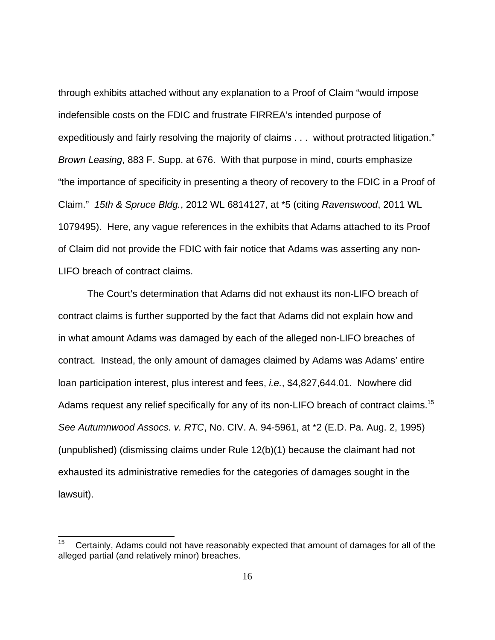through exhibits attached without any explanation to a Proof of Claim "would impose indefensible costs on the FDIC and frustrate FIRREA's intended purpose of expeditiously and fairly resolving the majority of claims . . . without protracted litigation." Brown Leasing, 883 F. Supp. at 676. With that purpose in mind, courts emphasize "the importance of specificity in presenting a theory of recovery to the FDIC in a Proof of Claim." 15th & Spruce Bldg., 2012 WL 6814127, at \*5 (citing Ravenswood, 2011 WL 1079495). Here, any vague references in the exhibits that Adams attached to its Proof of Claim did not provide the FDIC with fair notice that Adams was asserting any non-LIFO breach of contract claims.

The Court's determination that Adams did not exhaust its non-LIFO breach of contract claims is further supported by the fact that Adams did not explain how and in what amount Adams was damaged by each of the alleged non-LIFO breaches of contract. Instead, the only amount of damages claimed by Adams was Adams' entire loan participation interest, plus interest and fees, *i.e.*, \$4,827,644.01. Nowhere did Adams request any relief specifically for any of its non-LIFO breach of contract claims.<sup>15</sup> See Autumnwood Assocs. v. RTC, No. CIV. A. 94-5961, at \*2 (E.D. Pa. Aug. 2, 1995) (unpublished) (dismissing claims under Rule 12(b)(1) because the claimant had not exhausted its administrative remedies for the categories of damages sought in the lawsuit).

<sup>15</sup> Certainly, Adams could not have reasonably expected that amount of damages for all of the alleged partial (and relatively minor) breaches.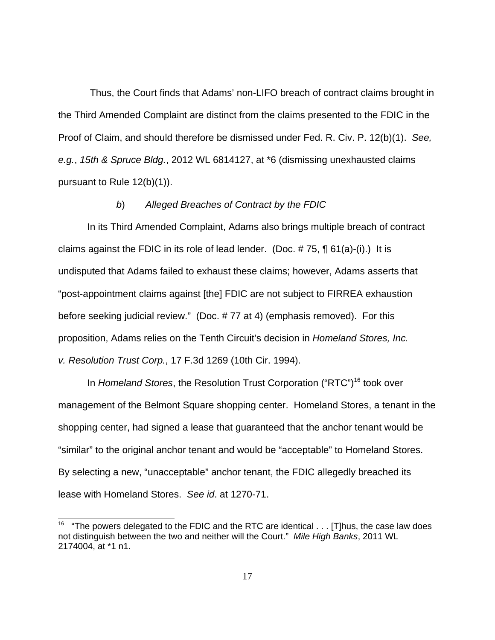Thus, the Court finds that Adams' non-LIFO breach of contract claims brought in the Third Amended Complaint are distinct from the claims presented to the FDIC in the Proof of Claim, and should therefore be dismissed under Fed. R. Civ. P. 12(b)(1). See, e.g., 15th & Spruce Bldg., 2012 WL 6814127, at \*6 (dismissing unexhausted claims pursuant to Rule 12(b)(1)).

## b) Alleged Breaches of Contract by the FDIC

In its Third Amended Complaint, Adams also brings multiple breach of contract claims against the FDIC in its role of lead lender. (Doc.  $\# 75$ ,  $\P$  61(a)-(i).) It is undisputed that Adams failed to exhaust these claims; however, Adams asserts that "post-appointment claims against [the] FDIC are not subject to FIRREA exhaustion before seeking judicial review." (Doc. # 77 at 4) (emphasis removed). For this proposition, Adams relies on the Tenth Circuit's decision in Homeland Stores, Inc. v. Resolution Trust Corp., 17 F.3d 1269 (10th Cir. 1994).

In Homeland Stores, the Resolution Trust Corporation ("RTC")<sup>16</sup> took over management of the Belmont Square shopping center. Homeland Stores, a tenant in the shopping center, had signed a lease that guaranteed that the anchor tenant would be "similar" to the original anchor tenant and would be "acceptable" to Homeland Stores. By selecting a new, "unacceptable" anchor tenant, the FDIC allegedly breached its lease with Homeland Stores. See id. at 1270-71.

<sup>&</sup>lt;sup>16</sup> "The powers delegated to the FDIC and the RTC are identical  $\dots$  [T]hus, the case law does not distinguish between the two and neither will the Court." Mile High Banks, 2011 WL 2174004, at \*1 n1.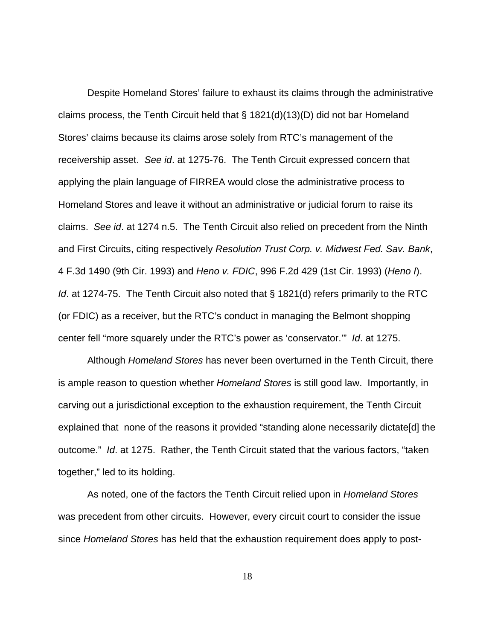Despite Homeland Stores' failure to exhaust its claims through the administrative claims process, the Tenth Circuit held that § 1821(d)(13)(D) did not bar Homeland Stores' claims because its claims arose solely from RTC's management of the receivership asset. See id. at 1275-76. The Tenth Circuit expressed concern that applying the plain language of FIRREA would close the administrative process to Homeland Stores and leave it without an administrative or judicial forum to raise its claims. See id. at 1274 n.5. The Tenth Circuit also relied on precedent from the Ninth and First Circuits, citing respectively Resolution Trust Corp. v. Midwest Fed. Sav. Bank, 4 F.3d 1490 (9th Cir. 1993) and Heno v. FDIC, 996 F.2d 429 (1st Cir. 1993) (Heno I). Id. at 1274-75. The Tenth Circuit also noted that § 1821(d) refers primarily to the RTC (or FDIC) as a receiver, but the RTC's conduct in managing the Belmont shopping center fell "more squarely under the RTC's power as 'conservator.'" Id. at 1275.

Although Homeland Stores has never been overturned in the Tenth Circuit, there is ample reason to question whether *Homeland Stores* is still good law. Importantly, in carving out a jurisdictional exception to the exhaustion requirement, the Tenth Circuit explained that none of the reasons it provided "standing alone necessarily dictate[d] the outcome." Id. at 1275. Rather, the Tenth Circuit stated that the various factors, "taken together," led to its holding.

As noted, one of the factors the Tenth Circuit relied upon in Homeland Stores was precedent from other circuits. However, every circuit court to consider the issue since Homeland Stores has held that the exhaustion requirement does apply to post-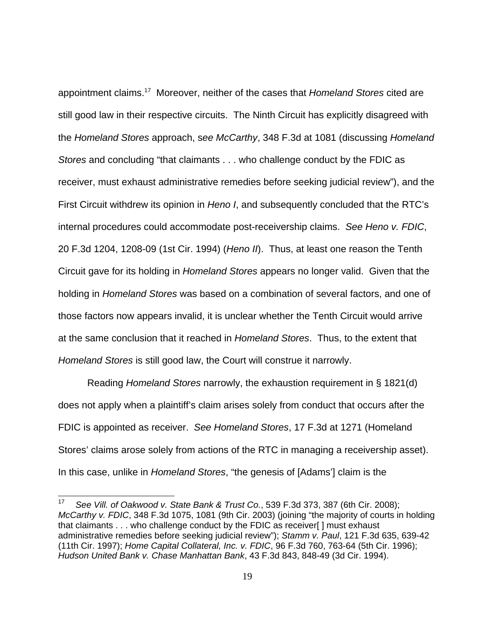appointment claims.<sup>17</sup> Moreover, neither of the cases that Homeland Stores cited are still good law in their respective circuits. The Ninth Circuit has explicitly disagreed with the Homeland Stores approach, see McCarthy, 348 F.3d at 1081 (discussing Homeland Stores and concluding "that claimants . . . who challenge conduct by the FDIC as receiver, must exhaust administrative remedies before seeking judicial review"), and the First Circuit withdrew its opinion in Heno I, and subsequently concluded that the RTC's internal procedures could accommodate post-receivership claims. See Heno v. FDIC, 20 F.3d 1204, 1208-09 (1st Cir. 1994) (Heno II). Thus, at least one reason the Tenth Circuit gave for its holding in Homeland Stores appears no longer valid. Given that the holding in Homeland Stores was based on a combination of several factors, and one of those factors now appears invalid, it is unclear whether the Tenth Circuit would arrive at the same conclusion that it reached in Homeland Stores. Thus, to the extent that Homeland Stores is still good law, the Court will construe it narrowly.

Reading Homeland Stores narrowly, the exhaustion requirement in § 1821(d) does not apply when a plaintiff's claim arises solely from conduct that occurs after the FDIC is appointed as receiver. See Homeland Stores, 17 F.3d at 1271 (Homeland Stores' claims arose solely from actions of the RTC in managing a receivership asset). In this case, unlike in Homeland Stores, "the genesis of [Adams'] claim is the

<sup>17</sup> See Vill. of Oakwood v. State Bank & Trust Co., 539 F.3d 373, 387 (6th Cir. 2008); McCarthy v. FDIC, 348 F.3d 1075, 1081 (9th Cir. 2003) (joining "the majority of courts in holding that claimants . . . who challenge conduct by the FDIC as receiver[ ] must exhaust administrative remedies before seeking judicial review"); Stamm v. Paul, 121 F.3d 635, 639-42 (11th Cir. 1997); Home Capital Collateral, Inc. v. FDIC, 96 F.3d 760, 763-64 (5th Cir. 1996); Hudson United Bank v. Chase Manhattan Bank, 43 F.3d 843, 848-49 (3d Cir. 1994).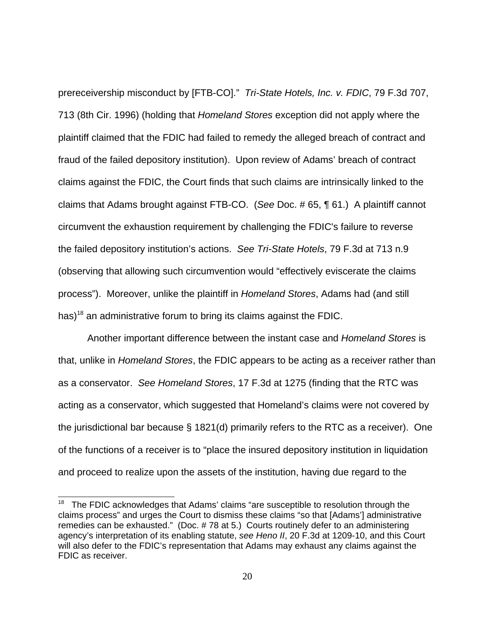prereceivership misconduct by [FTB-CO]." Tri-State Hotels, Inc. v. FDIC, 79 F.3d 707, 713 (8th Cir. 1996) (holding that Homeland Stores exception did not apply where the plaintiff claimed that the FDIC had failed to remedy the alleged breach of contract and fraud of the failed depository institution). Upon review of Adams' breach of contract claims against the FDIC, the Court finds that such claims are intrinsically linked to the claims that Adams brought against FTB-CO. (See Doc. # 65, ¶ 61.) A plaintiff cannot circumvent the exhaustion requirement by challenging the FDIC's failure to reverse the failed depository institution's actions. See Tri-State Hotels, 79 F.3d at 713 n.9 (observing that allowing such circumvention would "effectively eviscerate the claims process"). Moreover, unlike the plaintiff in Homeland Stores, Adams had (and still has)<sup>18</sup> an administrative forum to bring its claims against the FDIC.

Another important difference between the instant case and Homeland Stores is that, unlike in *Homeland Stores*, the FDIC appears to be acting as a receiver rather than as a conservator. See Homeland Stores, 17 F.3d at 1275 (finding that the RTC was acting as a conservator, which suggested that Homeland's claims were not covered by the jurisdictional bar because  $\S$  1821(d) primarily refers to the RTC as a receiver). One of the functions of a receiver is to "place the insured depository institution in liquidation and proceed to realize upon the assets of the institution, having due regard to the

<sup>&</sup>lt;sup>18</sup> The FDIC acknowledges that Adams' claims "are susceptible to resolution through the claims process" and urges the Court to dismiss these claims "so that [Adams'] administrative remedies can be exhausted." (Doc. # 78 at 5.) Courts routinely defer to an administering agency's interpretation of its enabling statute, see Heno II, 20 F.3d at 1209-10, and this Court will also defer to the FDIC's representation that Adams may exhaust any claims against the FDIC as receiver.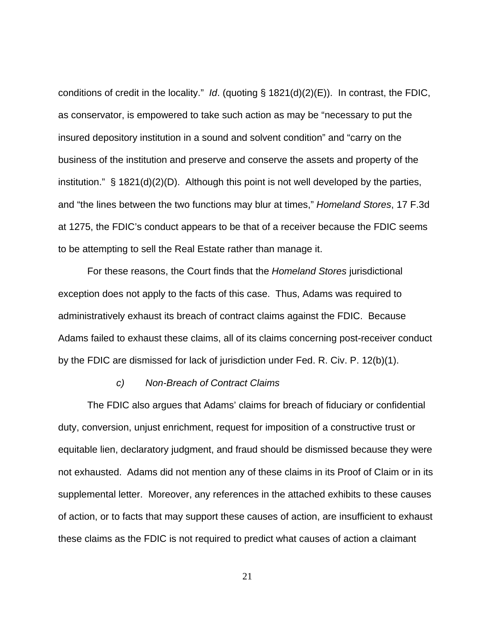conditions of credit in the locality." Id. (quoting  $\S$  1821(d)(2)(E)). In contrast, the FDIC, as conservator, is empowered to take such action as may be "necessary to put the insured depository institution in a sound and solvent condition" and "carry on the business of the institution and preserve and conserve the assets and property of the institution." § 1821(d)(2)(D). Although this point is not well developed by the parties, and "the lines between the two functions may blur at times," Homeland Stores, 17 F.3d at 1275, the FDIC's conduct appears to be that of a receiver because the FDIC seems to be attempting to sell the Real Estate rather than manage it.

For these reasons, the Court finds that the *Homeland Stores* jurisdictional exception does not apply to the facts of this case. Thus, Adams was required to administratively exhaust its breach of contract claims against the FDIC. Because Adams failed to exhaust these claims, all of its claims concerning post-receiver conduct by the FDIC are dismissed for lack of jurisdiction under Fed. R. Civ. P. 12(b)(1).

## c) Non-Breach of Contract Claims

The FDIC also argues that Adams' claims for breach of fiduciary or confidential duty, conversion, unjust enrichment, request for imposition of a constructive trust or equitable lien, declaratory judgment, and fraud should be dismissed because they were not exhausted. Adams did not mention any of these claims in its Proof of Claim or in its supplemental letter. Moreover, any references in the attached exhibits to these causes of action, or to facts that may support these causes of action, are insufficient to exhaust these claims as the FDIC is not required to predict what causes of action a claimant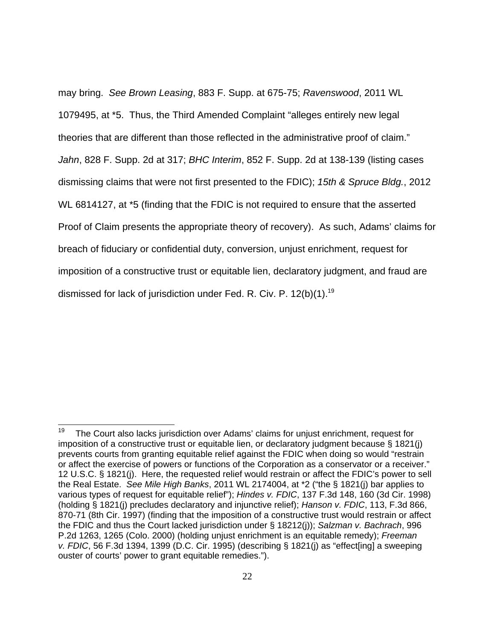may bring. See Brown Leasing, 883 F. Supp. at 675-75; Ravenswood, 2011 WL 1079495, at \*5. Thus, the Third Amended Complaint "alleges entirely new legal theories that are different than those reflected in the administrative proof of claim." Jahn, 828 F. Supp. 2d at 317; BHC Interim, 852 F. Supp. 2d at 138-139 (listing cases dismissing claims that were not first presented to the FDIC); 15th & Spruce Bldg., 2012 WL 6814127, at \*5 (finding that the FDIC is not required to ensure that the asserted Proof of Claim presents the appropriate theory of recovery). As such, Adams' claims for breach of fiduciary or confidential duty, conversion, unjust enrichment, request for imposition of a constructive trust or equitable lien, declaratory judgment, and fraud are dismissed for lack of jurisdiction under Fed. R. Civ. P. 12(b)(1).<sup>19</sup>

<sup>19</sup> The Court also lacks jurisdiction over Adams' claims for unjust enrichment, request for imposition of a constructive trust or equitable lien, or declaratory judgment because § 1821(j) prevents courts from granting equitable relief against the FDIC when doing so would "restrain or affect the exercise of powers or functions of the Corporation as a conservator or a receiver." 12 U.S.C. § 1821(j). Here, the requested relief would restrain or affect the FDIC's power to sell the Real Estate. See Mile High Banks, 2011 WL 2174004, at \*2 ("the § 1821(j) bar applies to various types of request for equitable relief"); Hindes v. FDIC, 137 F.3d 148, 160 (3d Cir. 1998) (holding § 1821(j) precludes declaratory and injunctive relief); Hanson v. FDIC, 113, F.3d 866, 870-71 (8th Cir. 1997) (finding that the imposition of a constructive trust would restrain or affect the FDIC and thus the Court lacked jurisdiction under  $\S$  18212(j)); Salzman v. Bachrach, 996 P.2d 1263, 1265 (Colo. 2000) (holding unjust enrichment is an equitable remedy); Freeman v. FDIC, 56 F.3d 1394, 1399 (D.C. Cir. 1995) (describing  $\S$  1821(j) as "effect[ing] a sweeping ouster of courts' power to grant equitable remedies.").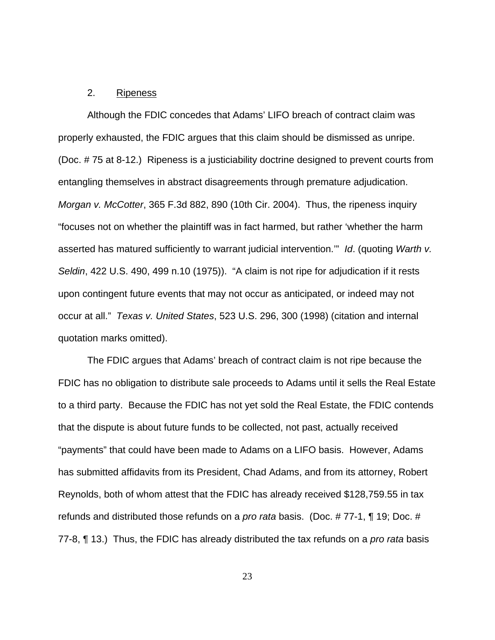## 2. Ripeness

Although the FDIC concedes that Adams' LIFO breach of contract claim was properly exhausted, the FDIC argues that this claim should be dismissed as unripe. (Doc. # 75 at 8-12.) Ripeness is a justiciability doctrine designed to prevent courts from entangling themselves in abstract disagreements through premature adjudication. Morgan v. McCotter, 365 F.3d 882, 890 (10th Cir. 2004). Thus, the ripeness inquiry "focuses not on whether the plaintiff was in fact harmed, but rather 'whether the harm asserted has matured sufficiently to warrant judicial intervention."" Id. (quoting Warth v. Seldin, 422 U.S. 490, 499 n.10 (1975)). "A claim is not ripe for adjudication if it rests upon contingent future events that may not occur as anticipated, or indeed may not occur at all." Texas v. United States, 523 U.S. 296, 300 (1998) (citation and internal quotation marks omitted).

The FDIC argues that Adams' breach of contract claim is not ripe because the FDIC has no obligation to distribute sale proceeds to Adams until it sells the Real Estate to a third party. Because the FDIC has not yet sold the Real Estate, the FDIC contends that the dispute is about future funds to be collected, not past, actually received "payments" that could have been made to Adams on a LIFO basis. However, Adams has submitted affidavits from its President, Chad Adams, and from its attorney, Robert Reynolds, both of whom attest that the FDIC has already received \$128,759.55 in tax refunds and distributed those refunds on a pro rata basis. (Doc. # 77-1, ¶ 19; Doc. # 77-8, ¶ 13.) Thus, the FDIC has already distributed the tax refunds on a *pro rata* basis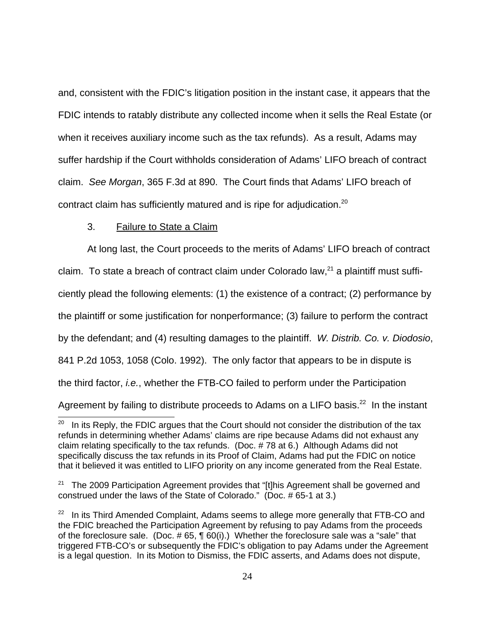and, consistent with the FDIC's litigation position in the instant case, it appears that the FDIC intends to ratably distribute any collected income when it sells the Real Estate (or when it receives auxiliary income such as the tax refunds). As a result, Adams may suffer hardship if the Court withholds consideration of Adams' LIFO breach of contract claim. See Morgan, 365 F.3d at 890. The Court finds that Adams' LIFO breach of contract claim has sufficiently matured and is ripe for adjudication. $^{20}$ 

## 3. Failure to State a Claim

At long last, the Court proceeds to the merits of Adams' LIFO breach of contract claim. To state a breach of contract claim under Colorado law, $^{21}$  a plaintiff must sufficiently plead the following elements: (1) the existence of a contract; (2) performance by the plaintiff or some justification for nonperformance; (3) failure to perform the contract by the defendant; and (4) resulting damages to the plaintiff. W. Distrib. Co. v. Diodosio, 841 P.2d 1053, 1058 (Colo. 1992). The only factor that appears to be in dispute is the third factor, i.e., whether the FTB-CO failed to perform under the Participation Agreement by failing to distribute proceeds to Adams on a LIFO basis.<sup>22</sup> In the instant

In its Reply, the FDIC argues that the Court should not consider the distribution of the tax refunds in determining whether Adams' claims are ripe because Adams did not exhaust any claim relating specifically to the tax refunds. (Doc. # 78 at 6.) Although Adams did not specifically discuss the tax refunds in its Proof of Claim, Adams had put the FDIC on notice that it believed it was entitled to LIFO priority on any income generated from the Real Estate.

<sup>&</sup>lt;sup>21</sup> The 2009 Participation Agreement provides that "[t]his Agreement shall be governed and construed under the laws of the State of Colorado." (Doc. # 65-1 at 3.)

In its Third Amended Complaint, Adams seems to allege more generally that FTB-CO and the FDIC breached the Participation Agreement by refusing to pay Adams from the proceeds of the foreclosure sale. (Doc. # 65, ¶ 60(i).) Whether the foreclosure sale was a "sale" that triggered FTB-CO's or subsequently the FDIC's obligation to pay Adams under the Agreement is a legal question. In its Motion to Dismiss, the FDIC asserts, and Adams does not dispute,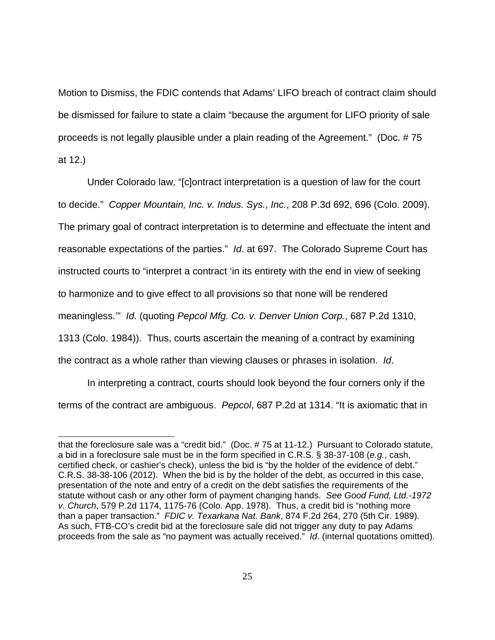Motion to Dismiss, the FDIC contends that Adams' LIFO breach of contract claim should be dismissed for failure to state a claim "because the argument for LIFO priority of sale proceeds is not legally plausible under a plain reading of the Agreement." (Doc. # 75 at 12.)

Under Colorado law, "[c]ontract interpretation is a question of law for the court to decide." Copper Mountain, Inc. v. Indus. Sys., Inc., 208 P.3d 692, 696 (Colo. 2009). The primary goal of contract interpretation is to determine and effectuate the intent and reasonable expectations of the parties." Id. at 697. The Colorado Supreme Court has instructed courts to "interpret a contract 'in its entirety with the end in view of seeking to harmonize and to give effect to all provisions so that none will be rendered meaningless.'" Id. (quoting Pepcol Mfg. Co. v. Denver Union Corp., 687 P.2d 1310, 1313 (Colo. 1984)). Thus, courts ascertain the meaning of a contract by examining the contract as a whole rather than viewing clauses or phrases in isolation. Id.

In interpreting a contract, courts should look beyond the four corners only if the terms of the contract are ambiguous. Pepcol, 687 P.2d at 1314. "It is axiomatic that in

that the foreclosure sale was a "credit bid." (Doc. # 75 at 11-12.) Pursuant to Colorado statute, a bid in a foreclosure sale must be in the form specified in C.R.S. § 38-37-108 (e.g., cash, certified check, or cashier's check), unless the bid is "by the holder of the evidence of debt." C.R.S. 38-38-106 (2012). When the bid is by the holder of the debt, as occurred in this case, presentation of the note and entry of a credit on the debt satisfies the requirements of the statute without cash or any other form of payment changing hands. See Good Fund, Ltd.-1972 v. Church, 579 P.2d 1174, 1175-76 (Colo. App. 1978). Thus, a credit bid is "nothing more than a paper transaction." FDIC v. Texarkana Nat. Bank, 874 F.2d 264, 270 (5th Cir. 1989). As such, FTB-CO's credit bid at the foreclosure sale did not trigger any duty to pay Adams proceeds from the sale as "no payment was actually received." Id. (internal quotations omitted).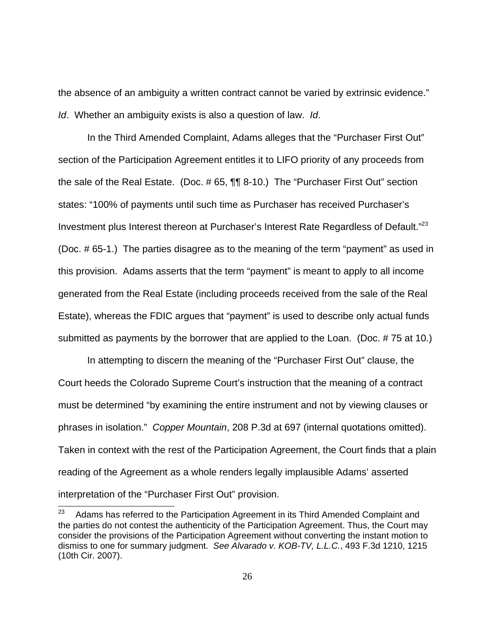the absence of an ambiguity a written contract cannot be varied by extrinsic evidence." Id. Whether an ambiguity exists is also a question of law. Id.

In the Third Amended Complaint, Adams alleges that the "Purchaser First Out" section of the Participation Agreement entitles it to LIFO priority of any proceeds from the sale of the Real Estate. (Doc. # 65, ¶¶ 8-10.) The "Purchaser First Out" section states: "100% of payments until such time as Purchaser has received Purchaser's Investment plus Interest thereon at Purchaser's Interest Rate Regardless of Default."<sup>23</sup> (Doc. # 65-1.) The parties disagree as to the meaning of the term "payment" as used in this provision. Adams asserts that the term "payment" is meant to apply to all income generated from the Real Estate (including proceeds received from the sale of the Real Estate), whereas the FDIC argues that "payment" is used to describe only actual funds submitted as payments by the borrower that are applied to the Loan. (Doc. # 75 at 10.)

In attempting to discern the meaning of the "Purchaser First Out" clause, the Court heeds the Colorado Supreme Court's instruction that the meaning of a contract must be determined "by examining the entire instrument and not by viewing clauses or phrases in isolation." Copper Mountain, 208 P.3d at 697 (internal quotations omitted). Taken in context with the rest of the Participation Agreement, the Court finds that a plain reading of the Agreement as a whole renders legally implausible Adams' asserted interpretation of the "Purchaser First Out" provision.

<sup>23</sup> Adams has referred to the Participation Agreement in its Third Amended Complaint and the parties do not contest the authenticity of the Participation Agreement. Thus, the Court may consider the provisions of the Participation Agreement without converting the instant motion to dismiss to one for summary judgment. See Alvarado v. KOB-TV, L.L.C., 493 F.3d 1210, 1215 (10th Cir. 2007).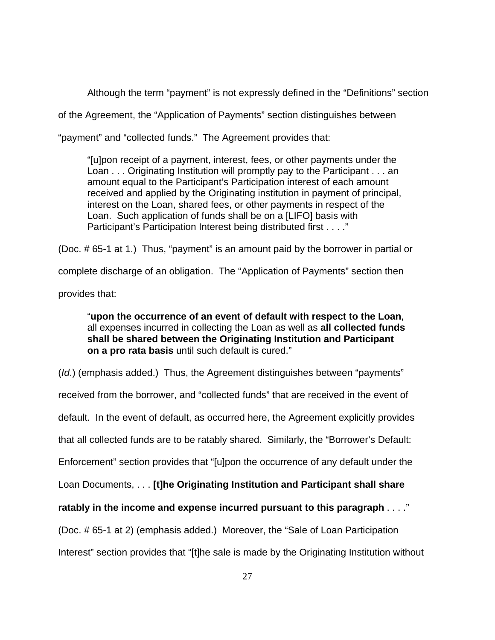Although the term "payment" is not expressly defined in the "Definitions" section

of the Agreement, the "Application of Payments" section distinguishes between

"payment" and "collected funds." The Agreement provides that:

"[u]pon receipt of a payment, interest, fees, or other payments under the Loan . . . Originating Institution will promptly pay to the Participant . . . an amount equal to the Participant's Participation interest of each amount received and applied by the Originating institution in payment of principal, interest on the Loan, shared fees, or other payments in respect of the Loan. Such application of funds shall be on a [LIFO] basis with Participant's Participation Interest being distributed first . . . ."

(Doc. # 65-1 at 1.) Thus, "payment" is an amount paid by the borrower in partial or

complete discharge of an obligation. The "Application of Payments" section then

provides that:

"**upon the occurrence of an event of default with respect to the Loan**, all expenses incurred in collecting the Loan as well as **all collected funds shall be shared between the Originating Institution and Participant on a pro rata basis** until such default is cured."

(Id.) (emphasis added.) Thus, the Agreement distinguishes between "payments" received from the borrower, and "collected funds" that are received in the event of default. In the event of default, as occurred here, the Agreement explicitly provides that all collected funds are to be ratably shared. Similarly, the "Borrower's Default: Enforcement" section provides that "[u]pon the occurrence of any default under the Loan Documents, . . . **[t]he Originating Institution and Participant shall share ratably in the income and expense incurred pursuant to this paragraph** . . . ." (Doc. # 65-1 at 2) (emphasis added.) Moreover, the "Sale of Loan Participation Interest" section provides that "[t]he sale is made by the Originating Institution without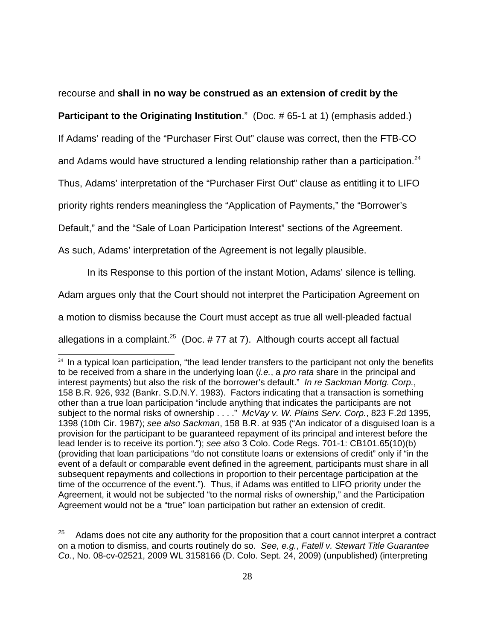recourse and **shall in no way be construed as an extension of credit by the**

**Participant to the Originating Institution.**" (Doc. #65-1 at 1) (emphasis added.)

If Adams' reading of the "Purchaser First Out" clause was correct, then the FTB-CO

and Adams would have structured a lending relationship rather than a participation. $^{24}$ 

Thus, Adams' interpretation of the "Purchaser First Out" clause as entitling it to LIFO

priority rights renders meaningless the "Application of Payments," the "Borrower's

Default," and the "Sale of Loan Participation Interest" sections of the Agreement.

As such, Adams' interpretation of the Agreement is not legally plausible.

In its Response to this portion of the instant Motion, Adams' silence is telling.

Adam argues only that the Court should not interpret the Participation Agreement on

a motion to dismiss because the Court must accept as true all well-pleaded factual

allegations in a complaint.<sup>25</sup> (Doc.  $# 77$  at 7). Although courts accept all factual

<sup>&</sup>lt;sup>24</sup> In a typical loan participation, "the lead lender transfers to the participant not only the benefits to be received from a share in the underlying loan (*i.e.*, a *pro rata* share in the principal and interest payments) but also the risk of the borrower's default." In re Sackman Mortg. Corp., 158 B.R. 926, 932 (Bankr. S.D.N.Y. 1983). Factors indicating that a transaction is something other than a true loan participation "include anything that indicates the participants are not subject to the normal risks of ownership . . . " McVay v. W. Plains Serv. Corp., 823 F.2d 1395, 1398 (10th Cir. 1987); see also Sackman, 158 B.R. at 935 ("An indicator of a disguised loan is a provision for the participant to be guaranteed repayment of its principal and interest before the lead lender is to receive its portion."); see also 3 Colo. Code Regs. 701-1: CB101.65(10)(b) (providing that loan participations "do not constitute loans or extensions of credit" only if "in the event of a default or comparable event defined in the agreement, participants must share in all subsequent repayments and collections in proportion to their percentage participation at the time of the occurrence of the event."). Thus, if Adams was entitled to LIFO priority under the Agreement, it would not be subjected "to the normal risks of ownership," and the Participation Agreement would not be a "true" loan participation but rather an extension of credit.

<sup>25</sup> Adams does not cite any authority for the proposition that a court cannot interpret a contract on a motion to dismiss, and courts routinely do so. See, e.g., Fatell v. Stewart Title Guarantee Co., No. 08-cv-02521, 2009 WL 3158166 (D. Colo. Sept. 24, 2009) (unpublished) (interpreting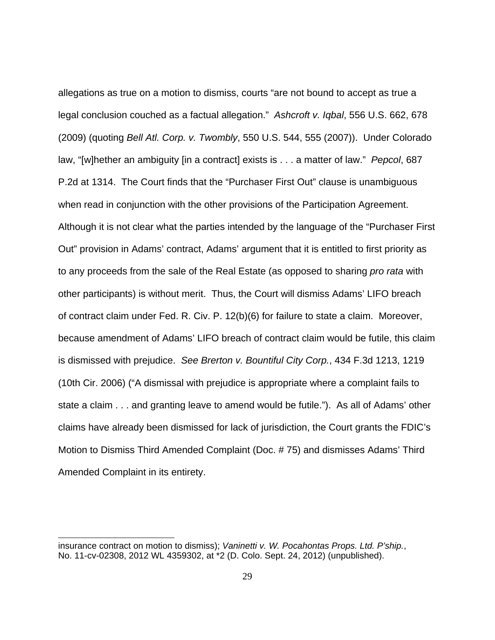allegations as true on a motion to dismiss, courts "are not bound to accept as true a legal conclusion couched as a factual allegation." Ashcroft v. Iqbal, 556 U.S. 662, 678 (2009) (quoting Bell Atl. Corp. v. Twombly, 550 U.S. 544, 555 (2007)). Under Colorado law, "[w]hether an ambiguity [in a contract] exists is . . . a matter of law." Pepcol, 687 P.2d at 1314. The Court finds that the "Purchaser First Out" clause is unambiguous when read in conjunction with the other provisions of the Participation Agreement. Although it is not clear what the parties intended by the language of the "Purchaser First Out" provision in Adams' contract, Adams' argument that it is entitled to first priority as to any proceeds from the sale of the Real Estate (as opposed to sharing *pro rata* with other participants) is without merit. Thus, the Court will dismiss Adams' LIFO breach of contract claim under Fed. R. Civ. P. 12(b)(6) for failure to state a claim. Moreover, because amendment of Adams' LIFO breach of contract claim would be futile, this claim is dismissed with prejudice. See Brerton v. Bountiful City Corp., 434 F.3d 1213, 1219 (10th Cir. 2006) ("A dismissal with prejudice is appropriate where a complaint fails to state a claim . . . and granting leave to amend would be futile."). As all of Adams' other claims have already been dismissed for lack of jurisdiction, the Court grants the FDIC's Motion to Dismiss Third Amended Complaint (Doc. # 75) and dismisses Adams' Third Amended Complaint in its entirety.

insurance contract on motion to dismiss); Vaninetti v. W. Pocahontas Props. Ltd. P'ship., No. 11-cv-02308, 2012 WL 4359302, at \*2 (D. Colo. Sept. 24, 2012) (unpublished).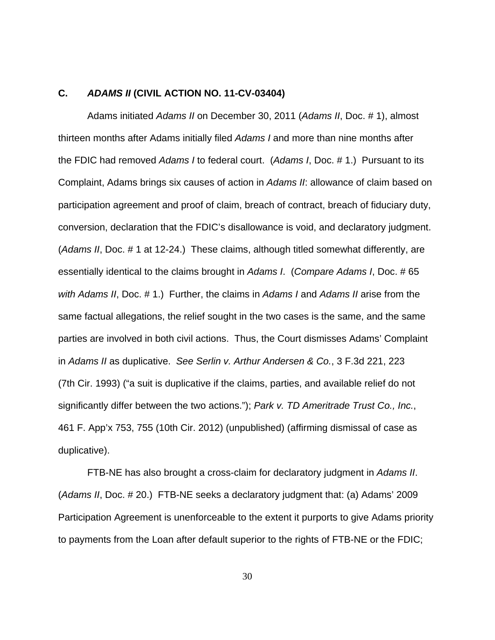## **C. ADAMS II (CIVIL ACTION NO. 11-CV-03404)**

Adams initiated Adams II on December 30, 2011 (Adams II, Doc. # 1), almost thirteen months after Adams initially filed Adams I and more than nine months after the FDIC had removed Adams I to federal court. (Adams I, Doc. # 1.) Pursuant to its Complaint, Adams brings six causes of action in Adams II: allowance of claim based on participation agreement and proof of claim, breach of contract, breach of fiduciary duty, conversion, declaration that the FDIC's disallowance is void, and declaratory judgment. (Adams II, Doc. # 1 at 12-24.) These claims, although titled somewhat differently, are essentially identical to the claims brought in Adams I. (Compare Adams I, Doc. # 65 with Adams II, Doc. # 1.) Further, the claims in Adams I and Adams II arise from the same factual allegations, the relief sought in the two cases is the same, and the same parties are involved in both civil actions. Thus, the Court dismisses Adams' Complaint in Adams II as duplicative. See Serlin v. Arthur Andersen & Co., 3 F.3d 221, 223 (7th Cir. 1993) ("a suit is duplicative if the claims, parties, and available relief do not significantly differ between the two actions."); Park v. TD Ameritrade Trust Co., Inc., 461 F. App'x 753, 755 (10th Cir. 2012) (unpublished) (affirming dismissal of case as duplicative).

FTB-NE has also brought a cross-claim for declaratory judgment in Adams II. (Adams II, Doc. # 20.) FTB-NE seeks a declaratory judgment that: (a) Adams' 2009 Participation Agreement is unenforceable to the extent it purports to give Adams priority to payments from the Loan after default superior to the rights of FTB-NE or the FDIC;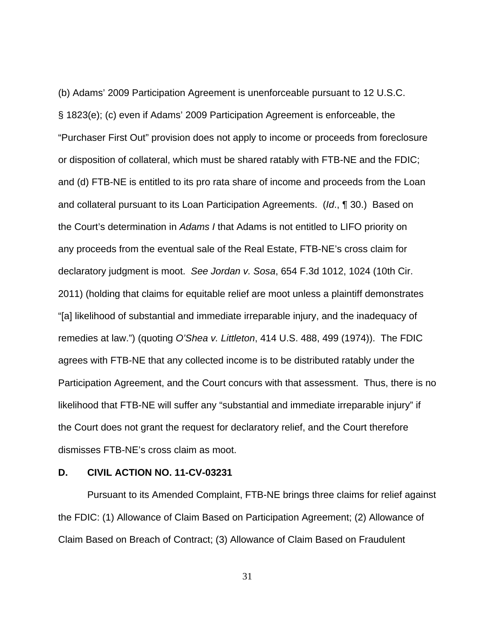(b) Adams' 2009 Participation Agreement is unenforceable pursuant to 12 U.S.C. § 1823(e); (c) even if Adams' 2009 Participation Agreement is enforceable, the "Purchaser First Out" provision does not apply to income or proceeds from foreclosure or disposition of collateral, which must be shared ratably with FTB-NE and the FDIC; and (d) FTB-NE is entitled to its pro rata share of income and proceeds from the Loan and collateral pursuant to its Loan Participation Agreements. (Id., ¶ 30.) Based on the Court's determination in Adams I that Adams is not entitled to LIFO priority on any proceeds from the eventual sale of the Real Estate, FTB-NE's cross claim for declaratory judgment is moot. See Jordan v. Sosa, 654 F.3d 1012, 1024 (10th Cir. 2011) (holding that claims for equitable relief are moot unless a plaintiff demonstrates "[a] likelihood of substantial and immediate irreparable injury, and the inadequacy of remedies at law.") (quoting O'Shea v. Littleton, 414 U.S. 488, 499 (1974)). The FDIC agrees with FTB-NE that any collected income is to be distributed ratably under the Participation Agreement, and the Court concurs with that assessment. Thus, there is no likelihood that FTB-NE will suffer any "substantial and immediate irreparable injury" if the Court does not grant the request for declaratory relief, and the Court therefore dismisses FTB-NE's cross claim as moot.

## **D. CIVIL ACTION NO. 11-CV-03231**

Pursuant to its Amended Complaint, FTB-NE brings three claims for relief against the FDIC: (1) Allowance of Claim Based on Participation Agreement; (2) Allowance of Claim Based on Breach of Contract; (3) Allowance of Claim Based on Fraudulent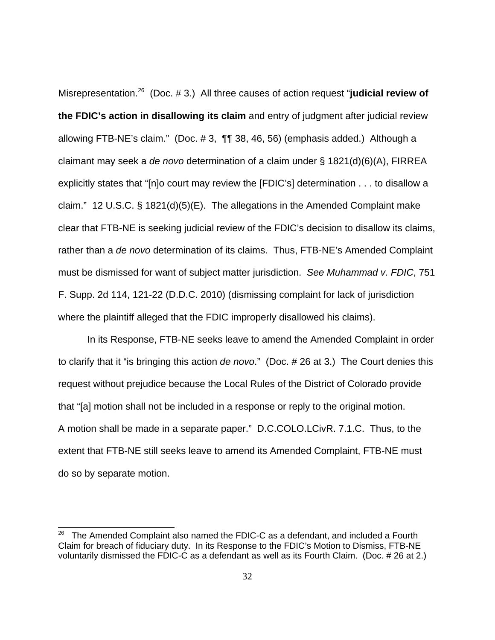Misrepresentation.<sup>26</sup> (Doc. # 3.) All three causes of action request "**judicial review of the FDIC's action in disallowing its claim** and entry of judgment after judicial review allowing FTB-NE's claim." (Doc. # 3, ¶¶ 38, 46, 56) (emphasis added.) Although a claimant may seek a de novo determination of a claim under  $\S$  1821(d)(6)(A), FIRREA explicitly states that "[n]o court may review the [FDIC's] determination . . . to disallow a claim." 12 U.S.C. § 1821(d)(5)(E). The allegations in the Amended Complaint make clear that FTB-NE is seeking judicial review of the FDIC's decision to disallow its claims, rather than a de novo determination of its claims. Thus, FTB-NE's Amended Complaint must be dismissed for want of subject matter jurisdiction. See Muhammad v. FDIC, 751 F. Supp. 2d 114, 121-22 (D.D.C. 2010) (dismissing complaint for lack of jurisdiction where the plaintiff alleged that the FDIC improperly disallowed his claims).

In its Response, FTB-NE seeks leave to amend the Amended Complaint in order to clarify that it "is bringing this action de novo." (Doc. # 26 at 3.) The Court denies this request without prejudice because the Local Rules of the District of Colorado provide that "[a] motion shall not be included in a response or reply to the original motion. A motion shall be made in a separate paper." D.C.COLO.LCivR. 7.1.C. Thus, to the extent that FTB-NE still seeks leave to amend its Amended Complaint, FTB-NE must do so by separate motion.

The Amended Complaint also named the FDIC-C as a defendant, and included a Fourth Claim for breach of fiduciary duty. In its Response to the FDIC's Motion to Dismiss, FTB-NE voluntarily dismissed the FDIC-C as a defendant as well as its Fourth Claim. (Doc. # 26 at 2.)